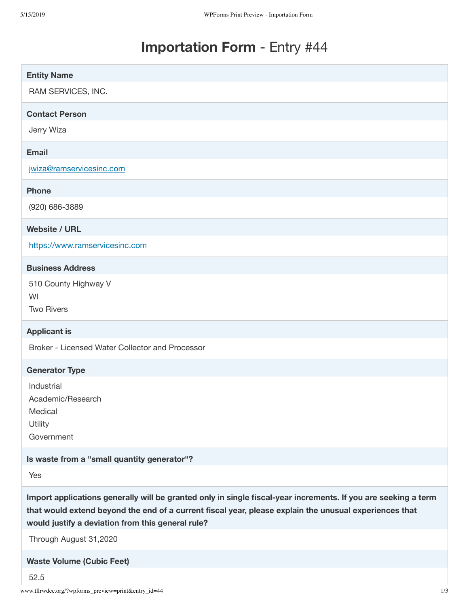## **Importation Form** - Entry #44

| <b>Entity Name</b>                                                                                                                                                                                                                                                            |
|-------------------------------------------------------------------------------------------------------------------------------------------------------------------------------------------------------------------------------------------------------------------------------|
| RAM SERVICES, INC.                                                                                                                                                                                                                                                            |
| <b>Contact Person</b>                                                                                                                                                                                                                                                         |
| Jerry Wiza                                                                                                                                                                                                                                                                    |
| <b>Email</b>                                                                                                                                                                                                                                                                  |
| jwiza@ramservicesinc.com                                                                                                                                                                                                                                                      |
| <b>Phone</b>                                                                                                                                                                                                                                                                  |
| (920) 686-3889                                                                                                                                                                                                                                                                |
| <b>Website / URL</b>                                                                                                                                                                                                                                                          |
| https://www.ramservicesinc.com                                                                                                                                                                                                                                                |
| <b>Business Address</b>                                                                                                                                                                                                                                                       |
| 510 County Highway V                                                                                                                                                                                                                                                          |
| WI<br><b>Two Rivers</b>                                                                                                                                                                                                                                                       |
| <b>Applicant is</b>                                                                                                                                                                                                                                                           |
| Broker - Licensed Water Collector and Processor                                                                                                                                                                                                                               |
| <b>Generator Type</b>                                                                                                                                                                                                                                                         |
| Industrial                                                                                                                                                                                                                                                                    |
| Academic/Research<br>Medical                                                                                                                                                                                                                                                  |
| Utility                                                                                                                                                                                                                                                                       |
| Government                                                                                                                                                                                                                                                                    |
| Is waste from a "small quantity generator"?                                                                                                                                                                                                                                   |
| Yes                                                                                                                                                                                                                                                                           |
| Import applications generally will be granted only in single fiscal-year increments. If you are seeking a term<br>that would extend beyond the end of a current fiscal year, please explain the unusual experiences that<br>would justify a deviation from this general rule? |
| Through August 31,2020                                                                                                                                                                                                                                                        |
|                                                                                                                                                                                                                                                                               |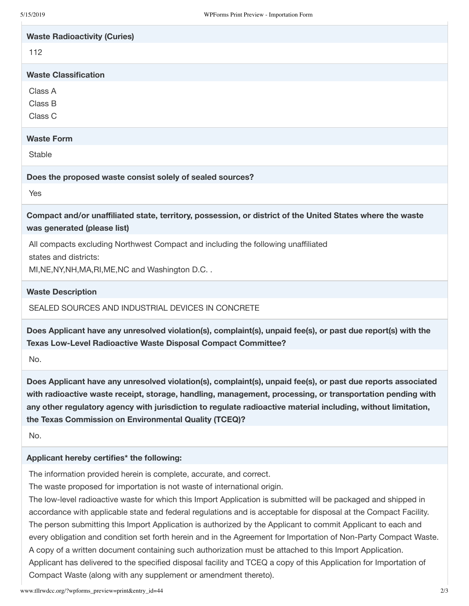| 5/15/2019                                         | WPForms Print Preview - Importation Form                                                                                                                                                                                                                                                                                                                                                            |
|---------------------------------------------------|-----------------------------------------------------------------------------------------------------------------------------------------------------------------------------------------------------------------------------------------------------------------------------------------------------------------------------------------------------------------------------------------------------|
| <b>Waste Radioactivity (Curies)</b>               |                                                                                                                                                                                                                                                                                                                                                                                                     |
| 112                                               |                                                                                                                                                                                                                                                                                                                                                                                                     |
| <b>Waste Classification</b>                       |                                                                                                                                                                                                                                                                                                                                                                                                     |
| Class A                                           |                                                                                                                                                                                                                                                                                                                                                                                                     |
| Class B                                           |                                                                                                                                                                                                                                                                                                                                                                                                     |
| Class C                                           |                                                                                                                                                                                                                                                                                                                                                                                                     |
| <b>Waste Form</b>                                 |                                                                                                                                                                                                                                                                                                                                                                                                     |
| <b>Stable</b>                                     |                                                                                                                                                                                                                                                                                                                                                                                                     |
|                                                   | Does the proposed waste consist solely of sealed sources?                                                                                                                                                                                                                                                                                                                                           |
| Yes                                               |                                                                                                                                                                                                                                                                                                                                                                                                     |
| was generated (please list)                       | Compact and/or unaffiliated state, territory, possession, or district of the United States where the waste                                                                                                                                                                                                                                                                                          |
|                                                   | All compacts excluding Northwest Compact and including the following unaffiliated                                                                                                                                                                                                                                                                                                                   |
| states and districts:                             |                                                                                                                                                                                                                                                                                                                                                                                                     |
| MI, NE, NY, NH, MA, RI, ME, NC and Washington D.C |                                                                                                                                                                                                                                                                                                                                                                                                     |
| <b>Waste Description</b>                          |                                                                                                                                                                                                                                                                                                                                                                                                     |
|                                                   | SEALED SOURCES AND INDUSTRIAL DEVICES IN CONCRETE                                                                                                                                                                                                                                                                                                                                                   |
|                                                   | Does Applicant have any unresolved violation(s), complaint(s), unpaid fee(s), or past due report(s) with the<br>Texas Low-Level Radioactive Waste Disposal Compact Committee?                                                                                                                                                                                                                       |
| No.                                               |                                                                                                                                                                                                                                                                                                                                                                                                     |
|                                                   | Does Applicant have any unresolved violation(s), complaint(s), unpaid fee(s), or past due reports associated<br>with radioactive waste receipt, storage, handling, management, processing, or transportation pending with<br>any other regulatory agency with jurisdiction to regulate radioactive material including, without limitation,<br>the Texas Commission on Environmental Quality (TCEQ)? |
| No.                                               |                                                                                                                                                                                                                                                                                                                                                                                                     |
| Applicant hereby certifies* the following:        |                                                                                                                                                                                                                                                                                                                                                                                                     |
|                                                   | The information provided herein is complete, accurate, and correct.                                                                                                                                                                                                                                                                                                                                 |

The waste proposed for importation is not waste of international origin.

The low-level radioactive waste for which this Import Application is submitted will be packaged and shipped in accordance with applicable state and federal regulations and is acceptable for disposal at the Compact Facility. The person submitting this Import Application is authorized by the Applicant to commit Applicant to each and every obligation and condition set forth herein and in the Agreement for Importation of Non-Party Compact Waste. A copy of a written document containing such authorization must be attached to this Import Application. Applicant has delivered to the specified disposal facility and TCEQ a copy of this Application for Importation of Compact Waste (along with any supplement or amendment thereto).